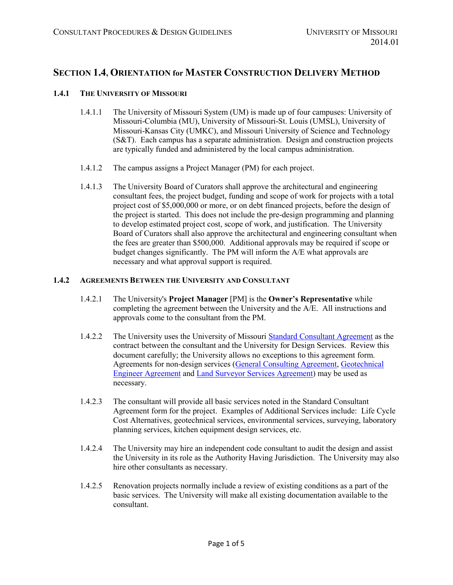# **SECTION 1.4, ORIENTATION for MASTER CONSTRUCTION DELIVERY METHOD**

## **1.4.1 THE UNIVERSITY OF MISSOURI**

- 1.4.1.1 The University of Missouri System (UM) is made up of four campuses: University of Missouri-Columbia (MU), University of Missouri-St. Louis (UMSL), University of Missouri-Kansas City (UMKC), and Missouri University of Science and Technology (S&T). Each campus has a separate administration. Design and construction projects are typically funded and administered by the local campus administration.
- 1.4.1.2 The campus assigns a Project Manager (PM) for each project.
- 1.4.1.3 The University Board of Curators shall approve the architectural and engineering consultant fees, the project budget, funding and scope of work for projects with a total project cost of \$5,000,000 or more, or on debt financed projects, before the design of the project is started. This does not include the pre-design programming and planning to develop estimated project cost, scope of work, and justification. The University Board of Curators shall also approve the architectural and engineering consultant when the fees are greater than \$500,000. Additional approvals may be required if scope or budget changes significantly. The PM will inform the A/E what approvals are necessary and what approval support is required.

### **1.4.2 AGREEMENTS BETWEEN THE UNIVERSITY AND CONSULTANT**

- 1.4.2.1 The University's **Project Manager** [PM] is the **Owner's Representative** while completing the agreement between the University and the A/E. All instructions and approvals come to the consultant from the PM.
- 1.4.2.2 The University uses the University of Missouri [Standard Consultant](https://collaborate.umsystem.edu/sites/fpd/public/docs/Standard%20Consulting%20Agreement.pdf?d=w1be8025db60144cd9215a81f82d4cb91) Agreement as the contract between the consultant and the University for Design Services. Review this document carefully; the University allows no exceptions to this agreement form. Agreements for non-design services [\(General Consulting Agreement,](https://collaborate.umsystem.edu/sites/fpd/public/docs/General%20Consulting%20Agreement.docx?d=w072577afd6544a11b711224e8a4d6132) [Geotechnical](https://collaborate.umsystem.edu/sites/fpd/public/docs/geotechnical%20engineer%20agreement%20-%20no%20cover%20letter.docx?d=wa37f598ccb5f4b50b7d2d0a252f59576)  Engineer [Agreement](https://collaborate.umsystem.edu/sites/fpd/public/docs/geotechnical%20engineer%20agreement%20-%20no%20cover%20letter.docx?d=wa37f598ccb5f4b50b7d2d0a252f59576) and [Land Surveyor Services Agreement\)](https://collaborate.umsystem.edu/sites/fpd/public/docs/land%20surveyor%20agreement%20-%20no%20transmittal%20letter.docx?d=w3fcaf713aba44f5083e303739710d000) may be used as necessary.
- 1.4.2.3 The consultant will provide all basic services noted in the Standard Consultant Agreement form for the project. Examples of Additional Services include: Life Cycle Cost Alternatives, geotechnical services, environmental services, surveying, laboratory planning services, kitchen equipment design services, etc.
- 1.4.2.4 The University may hire an independent code consultant to audit the design and assist the University in its role as the Authority Having Jurisdiction. The University may also hire other consultants as necessary.
- 1.4.2.5 Renovation projects normally include a review of existing conditions as a part of the basic services. The University will make all existing documentation available to the consultant.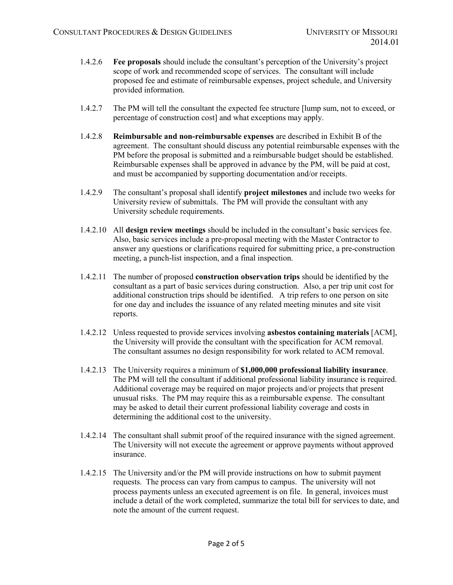- 1.4.2.6 **Fee proposals** should include the consultant's perception of the University's project scope of work and recommended scope of services. The consultant will include proposed fee and estimate of reimbursable expenses, project schedule, and University provided information.
- 1.4.2.7 The PM will tell the consultant the expected fee structure [lump sum, not to exceed, or percentage of construction cost] and what exceptions may apply.
- 1.4.2.8 **Reimbursable and non-reimbursable expenses** are described in Exhibit B of the agreement. The consultant should discuss any potential reimbursable expenses with the PM before the proposal is submitted and a reimbursable budget should be established. Reimbursable expenses shall be approved in advance by the PM, will be paid at cost, and must be accompanied by supporting documentation and/or receipts.
- 1.4.2.9 The consultant's proposal shall identify **project milestones** and include two weeks for University review of submittals. The PM will provide the consultant with any University schedule requirements.
- 1.4.2.10 All **design review meetings** should be included in the consultant's basic services fee. Also, basic services include a pre-proposal meeting with the Master Contractor to answer any questions or clarifications required for submitting price, a pre-construction meeting, a punch-list inspection, and a final inspection.
- 1.4.2.11 The number of proposed **construction observation trips** should be identified by the consultant as a part of basic services during construction. Also, a per trip unit cost for additional construction trips should be identified. A trip refers to one person on site for one day and includes the issuance of any related meeting minutes and site visit reports.
- 1.4.2.12 Unless requested to provide services involving **asbestos containing materials** [ACM], the University will provide the consultant with the specification for ACM removal. The consultant assumes no design responsibility for work related to ACM removal.
- 1.4.2.13 The University requires a minimum of **\$1,000,000 professional liability insurance**. The PM will tell the consultant if additional professional liability insurance is required. Additional coverage may be required on major projects and/or projects that present unusual risks. The PM may require this as a reimbursable expense. The consultant may be asked to detail their current professional liability coverage and costs in determining the additional cost to the university.
- 1.4.2.14 The consultant shall submit proof of the required insurance with the signed agreement. The University will not execute the agreement or approve payments without approved insurance.
- 1.4.2.15 The University and/or the PM will provide instructions on how to submit payment requests. The process can vary from campus to campus. The university will not process payments unless an executed agreement is on file. In general, invoices must include a detail of the work completed, summarize the total bill for services to date, and note the amount of the current request.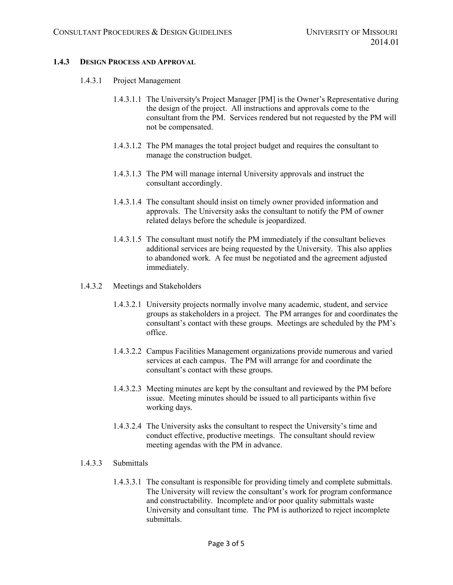#### **1.4.3 DESIGN PROCESS AND APPROVAL**

- 1.4.3.1 Project Management
	- 1.4.3.1.1 The University's Project Manager [PM] is the Owner's Representative during the design of the project. All instructions and approvals come to the consultant from the PM. Services rendered but not requested by the PM will not be compensated.
	- 1.4.3.1.2 The PM manages the total project budget and requires the consultant to manage the construction budget.
	- 1.4.3.1.3 The PM will manage internal University approvals and instruct the consultant accordingly.
	- 1.4.3.1.4 The consultant should insist on timely owner provided information and approvals. The University asks the consultant to notify the PM of owner related delays before the schedule is jeopardized.
	- 1.4.3.1.5 The consultant must notify the PM immediately if the consultant believes additional services are being requested by the University. This also applies to abandoned work. A fee must be negotiated and the agreement adjusted immediately.
- 1.4.3.2 Meetings and Stakeholders
	- 1.4.3.2.1 University projects normally involve many academic, student, and service groups as stakeholders in a project. The PM arranges for and coordinates the consultant's contact with these groups. Meetings are scheduled by the PM's office.
	- 1.4.3.2.2 Campus Facilities Management organizations provide numerous and varied services at each campus. The PM will arrange for and coordinate the consultant's contact with these groups.
	- 1.4.3.2.3 Meeting minutes are kept by the consultant and reviewed by the PM before issue. Meeting minutes should be issued to all participants within five working days.
	- 1.4.3.2.4 The University asks the consultant to respect the University's time and conduct effective, productive meetings. The consultant should review meeting agendas with the PM in advance.
- 1.4.3.3 Submittals
	- 1.4.3.3.1 The consultant is responsible for providing timely and complete submittals. The University will review the consultant's work for program conformance and constructability. Incomplete and/or poor quality submittals waste University and consultant time. The PM is authorized to reject incomplete submittals.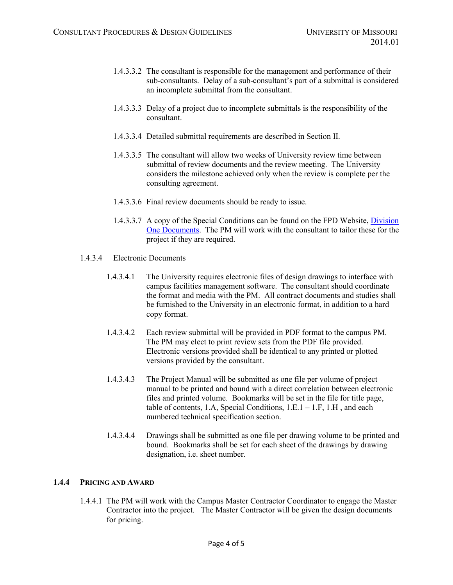- 1.4.3.3.2 The consultant is responsible for the management and performance of their sub-consultants. Delay of a sub-consultant's part of a submittal is considered an incomplete submittal from the consultant.
- 1.4.3.3.3 Delay of a project due to incomplete submittals is the responsibility of the consultant.
- 1.4.3.3.4 Detailed submittal requirements are described in Section II.
- 1.4.3.3.5 The consultant will allow two weeks of University review time between submittal of review documents and the review meeting. The University considers the milestone achieved only when the review is complete per the consulting agreement.
- 1.4.3.3.6 Final review documents should be ready to issue.
- 1.4.3.3.7 A copy of the Special Conditions can be found on the FPD Website, [Division](https://collaborate.umsystem.edu/sites/fpd/public/docs/Div%201%20Bidding%20Documents.docx?d=wb98602c26410440ba565b1ef9b31e2e3)  [One Documents.](https://collaborate.umsystem.edu/sites/fpd/public/docs/Div%201%20Bidding%20Documents.docx?d=wb98602c26410440ba565b1ef9b31e2e3) The PM will work with the consultant to tailor these for the project if they are required.
- 1.4.3.4 Electronic Documents
	- 1.4.3.4.1 The University requires electronic files of design drawings to interface with campus facilities management software. The consultant should coordinate the format and media with the PM. All contract documents and studies shall be furnished to the University in an electronic format, in addition to a hard copy format.
	- 1.4.3.4.2 Each review submittal will be provided in PDF format to the campus PM. The PM may elect to print review sets from the PDF file provided. Electronic versions provided shall be identical to any printed or plotted versions provided by the consultant.
	- 1.4.3.4.3 The Project Manual will be submitted as one file per volume of project manual to be printed and bound with a direct correlation between electronic files and printed volume. Bookmarks will be set in the file for title page, table of contents, 1.A, Special Conditions,  $1.E.1 - 1.F, 1.H$ , and each numbered technical specification section.
	- 1.4.3.4.4 Drawings shall be submitted as one file per drawing volume to be printed and bound. Bookmarks shall be set for each sheet of the drawings by drawing designation, i.e. sheet number.

#### **1.4.4 PRICING AND AWARD**

1.4.4.1 The PM will work with the Campus Master Contractor Coordinator to engage the Master Contractor into the project. The Master Contractor will be given the design documents for pricing.